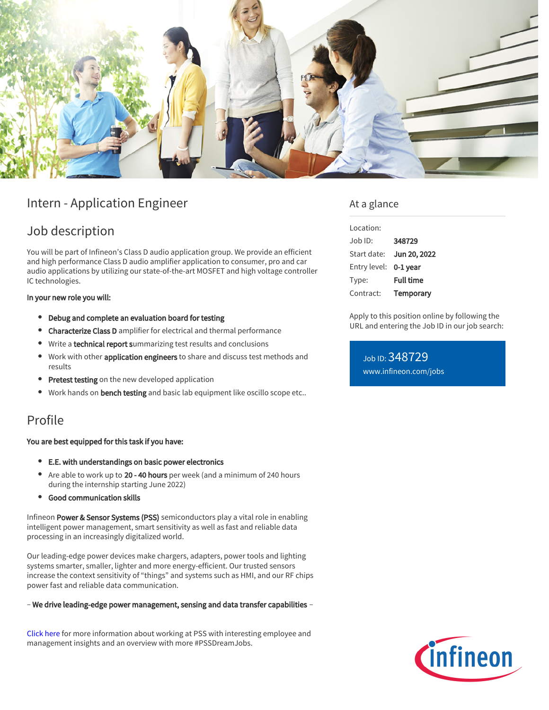

# Intern - Application Engineer

## Job description

You will be part of Infineon's Class D audio application group. We provide an efficient and high performance Class D audio amplifier application to consumer, pro and car audio applications by utilizing our state-of-the-art MOSFET and high voltage controller IC technologies.

### In your new role you will:

- Debug and complete an evaluation board for testing
- **Characterize Class D** amplifier for electrical and thermal performance
- Write a technical report summarizing test results and conclusions
- Work with other **application engineers** to share and discuss test methods and  $\bullet$ results
- Pretest testing on the new developed application
- Work hands on bench testing and basic lab equipment like oscillo scope etc..

# Profile

### You are best equipped for this task if you have:

- E.E. with understandings on basic power electronics
- Are able to work up to 20 40 hours per week (and a minimum of 240 hours during the internship starting June 2022)
- Good communication skills

Infineon Power & Sensor Systems (PSS) semiconductors play a vital role in enabling intelligent power management, smart sensitivity as well as fast and reliable data processing in an increasingly digitalized world.

Our leading-edge power devices make chargers, adapters, power tools and lighting systems smarter, smaller, lighter and more energy-efficient. Our trusted sensors increase the context sensitivity of "things" and systems such as HMI, and our RF chips power fast and reliable data communication.

#### – We drive leading-edge power management, sensing and data transfer capabilities –

[Click here](https://www.infineon.com/cms/en/careers/working-at-infineon/PSSDreamJob/) for more information about working at PSS with interesting employee and management insights and an overview with more #PSSDreamJobs.

### At a glance

| Location:    |                  |
|--------------|------------------|
| Job ID:      | 348729           |
| Start date:  | Jun 20, 2022     |
| Entry level: | $0-1$ year       |
| Type:        | <b>Full time</b> |
| Contract:    | Temporary        |

Apply to this position online by following the URL and entering the Job ID in our job search:

Job ID: 348729 [www.infineon.com/jobs](https://www.infineon.com/jobs)